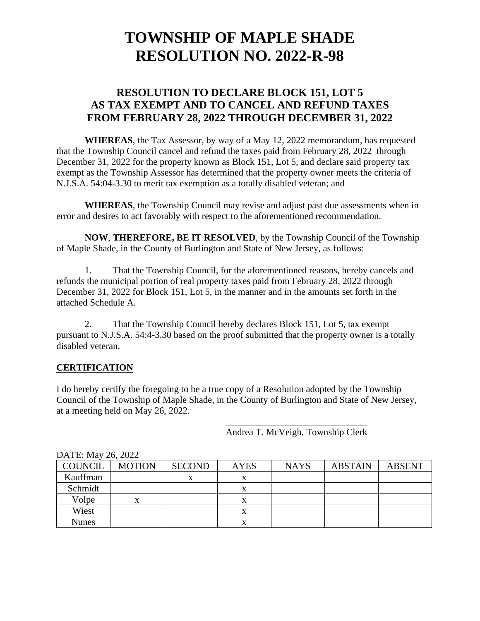## **RESOLUTION TO DECLARE BLOCK 151, LOT 5 AS TAX EXEMPT AND TO CANCEL AND REFUND TAXES FROM FEBRUARY 28, 2022 THROUGH DECEMBER 31, 2022**

**WHEREAS**, the Tax Assessor, by way of a May 12, 2022 memorandum, has requested that the Township Council cancel and refund the taxes paid from February 28, 2022 through December 31, 2022 for the property known as Block 151, Lot 5, and declare said property tax exempt as the Township Assessor has determined that the property owner meets the criteria of N.J.S.A. 54:04-3.30 to merit tax exemption as a totally disabled veteran; and

**WHEREAS**, the Township Council may revise and adjust past due assessments when in error and desires to act favorably with respect to the aforementioned recommendation.

**NOW**, **THEREFORE, BE IT RESOLVED**, by the Township Council of the Township of Maple Shade, in the County of Burlington and State of New Jersey, as follows:

1. That the Township Council, for the aforementioned reasons, hereby cancels and refunds the municipal portion of real property taxes paid from February 28, 2022 through December 31, 2022 for Block 151, Lot 5, in the manner and in the amounts set forth in the attached Schedule A.

2. That the Township Council hereby declares Block 151, Lot 5, tax exempt pursuant to N.J.S.A. 54:4-3.30 based on the proof submitted that the property owner is a totally disabled veteran.

#### **CERTIFICATION**

I do hereby certify the foregoing to be a true copy of a Resolution adopted by the Township Council of the Township of Maple Shade, in the County of Burlington and State of New Jersey, at a meeting held on May 26, 2022.

Andrea T. McVeigh, Township Clerk

| $P_{111}P_{22}$ , $P_{110}P_{22}P_{22}P_{23}P_{24}P_{25}P_{26}P_{27}P_{28}P_{29}P_{20}P_{21}P_{20}P_{21}P_{22}P_{23}P_{24}P_{25}P_{26}P_{27}P_{28}P_{20}P_{21}P_{22}P_{23}P_{24}P_{25}P_{26}P_{27}P_{28}P_{28}P_{20}P_{21}P_{22}P_{23}P_{24}P_{26}P_{27}P_{28}P_{28}P_{20$ |               |               |             |             |                |               |  |  |
|----------------------------------------------------------------------------------------------------------------------------------------------------------------------------------------------------------------------------------------------------------------------------|---------------|---------------|-------------|-------------|----------------|---------------|--|--|
| <b>COUNCIL</b>                                                                                                                                                                                                                                                             | <b>MOTION</b> | <b>SECOND</b> | <b>AYES</b> | <b>NAYS</b> | <b>ABSTAIN</b> | <b>ABSENT</b> |  |  |
| Kauffman                                                                                                                                                                                                                                                                   |               |               | л           |             |                |               |  |  |
| Schmidt                                                                                                                                                                                                                                                                    |               |               | x           |             |                |               |  |  |
| Volpe                                                                                                                                                                                                                                                                      | x             |               | л           |             |                |               |  |  |
| Wiest                                                                                                                                                                                                                                                                      |               |               | л           |             |                |               |  |  |
| Nunes                                                                                                                                                                                                                                                                      |               |               | ́△          |             |                |               |  |  |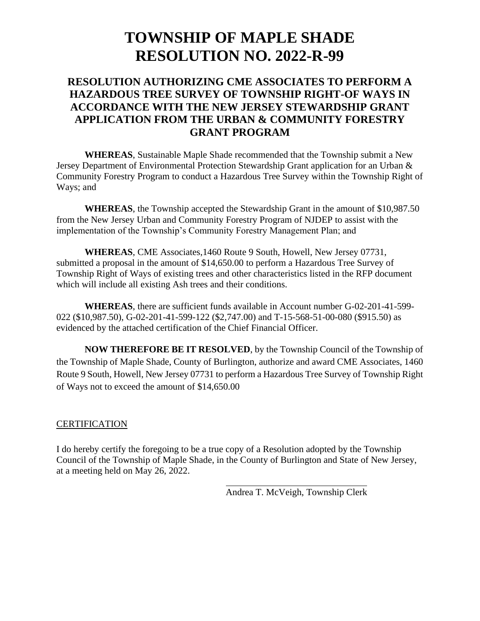## **RESOLUTION AUTHORIZING CME ASSOCIATES TO PERFORM A HAZARDOUS TREE SURVEY OF TOWNSHIP RIGHT-OF WAYS IN ACCORDANCE WITH THE NEW JERSEY STEWARDSHIP GRANT APPLICATION FROM THE URBAN & COMMUNITY FORESTRY GRANT PROGRAM**

**WHEREAS**, Sustainable Maple Shade recommended that the Township submit a New Jersey Department of Environmental Protection Stewardship Grant application for an Urban & Community Forestry Program to conduct a Hazardous Tree Survey within the Township Right of Ways; and

**WHEREAS**, the Township accepted the Stewardship Grant in the amount of \$10,987.50 from the New Jersey Urban and Community Forestry Program of NJDEP to assist with the implementation of the Township's Community Forestry Management Plan; and

**WHEREAS**, CME Associates,1460 Route 9 South, Howell, New Jersey 07731, submitted a proposal in the amount of \$14,650.00 to perform a Hazardous Tree Survey of Township Right of Ways of existing trees and other characteristics listed in the RFP document which will include all existing Ash trees and their conditions.

**WHEREAS**, there are sufficient funds available in Account number G-02-201-41-599- 022 (\$10,987.50), G-02-201-41-599-122 (\$2,747.00) and T-15-568-51-00-080 (\$915.50) as evidenced by the attached certification of the Chief Financial Officer.

**NOW THEREFORE BE IT RESOLVED**, by the Township Council of the Township of the Township of Maple Shade, County of Burlington, authorize and award CME Associates, 1460 Route 9 South, Howell, New Jersey 07731 to perform a Hazardous Tree Survey of Township Right of Ways not to exceed the amount of \$14,650.00

#### **CERTIFICATION**

I do hereby certify the foregoing to be a true copy of a Resolution adopted by the Township Council of the Township of Maple Shade, in the County of Burlington and State of New Jersey, at a meeting held on May 26, 2022.

Andrea T. McVeigh, Township Clerk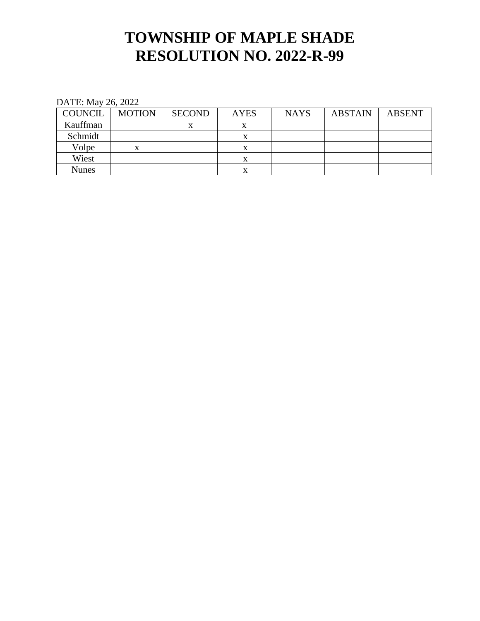| <b>COUNCIL</b> | <b>MOTION</b> | <b>SECOND</b> | <b>AYES</b> | <b>NAYS</b> | <b>ABSTAIN</b> | <b>ABSENT</b> |
|----------------|---------------|---------------|-------------|-------------|----------------|---------------|
| Kauffman       |               |               | л           |             |                |               |
| Schmidt        |               |               | X           |             |                |               |
| Volpe          | x             |               | X           |             |                |               |
| Wiest          |               |               | X           |             |                |               |
| <b>Nunes</b>   |               |               |             |             |                |               |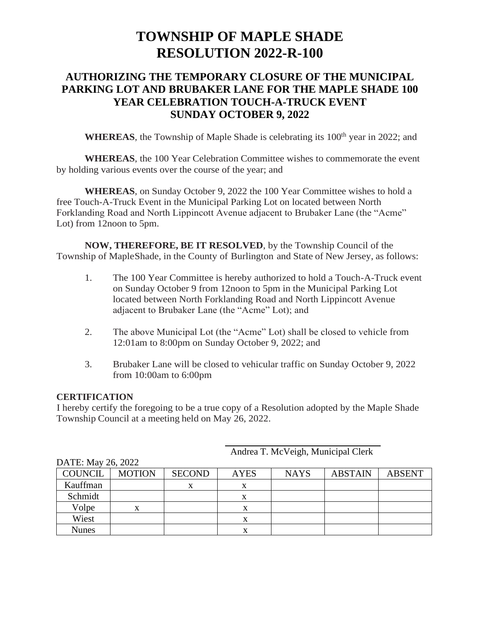## **AUTHORIZING THE TEMPORARY CLOSURE OF THE MUNICIPAL PARKING LOT AND BRUBAKER LANE FOR THE MAPLE SHADE 100 YEAR CELEBRATION TOUCH-A-TRUCK EVENT SUNDAY OCTOBER 9, 2022**

**WHEREAS**, the Township of Maple Shade is celebrating its 100<sup>th</sup> year in 2022; and

**WHEREAS**, the 100 Year Celebration Committee wishes to commemorate the event by holding various events over the course of the year; and

**WHEREAS**, on Sunday October 9, 2022 the 100 Year Committee wishes to hold a free Touch-A-Truck Event in the Municipal Parking Lot on located between North Forklanding Road and North Lippincott Avenue adjacent to Brubaker Lane (the "Acme" Lot) from 12noon to 5pm.

**NOW, THEREFORE, BE IT RESOLVED**, by the Township Council of the Township of MapleShade, in the County of Burlington and State of New Jersey, as follows:

- 1. The 100 Year Committee is hereby authorized to hold a Touch-A-Truck event on Sunday October 9 from 12noon to 5pm in the Municipal Parking Lot located between North Forklanding Road and North Lippincott Avenue adjacent to Brubaker Lane (the "Acme" Lot); and
- 2. The above Municipal Lot (the "Acme" Lot) shall be closed to vehicle from 12:01am to 8:00pm on Sunday October 9, 2022; and
- 3. Brubaker Lane will be closed to vehicular traffic on Sunday October 9, 2022 from 10:00am to 6:00pm

#### **CERTIFICATION**

I hereby certify the foregoing to be a true copy of a Resolution adopted by the Maple Shade Township Council at a meeting held on May 26, 2022.

|                | ، ب<br>DATE: May 26, 2022 |               |             |             |                |               |  |  |  |  |
|----------------|---------------------------|---------------|-------------|-------------|----------------|---------------|--|--|--|--|
| <b>COUNCIL</b> | <b>MOTION</b>             | <b>SECOND</b> | <b>AYES</b> | <b>NAYS</b> | <b>ABSTAIN</b> | <b>ABSENT</b> |  |  |  |  |
| Kauffman       |                           |               | x           |             |                |               |  |  |  |  |
| Schmidt        |                           |               | x           |             |                |               |  |  |  |  |
| Volpe          | X                         |               | X           |             |                |               |  |  |  |  |
| Wiest          |                           |               | x           |             |                |               |  |  |  |  |
| <b>Nunes</b>   |                           |               |             |             |                |               |  |  |  |  |

#### Andrea T. McVeigh, Municipal Clerk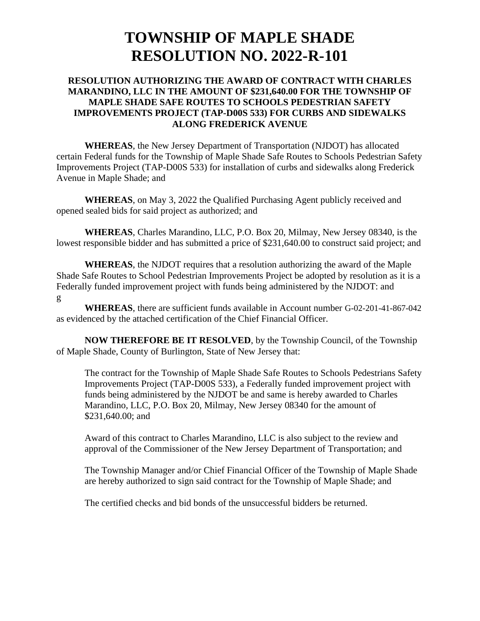#### **RESOLUTION AUTHORIZING THE AWARD OF CONTRACT WITH CHARLES MARANDINO, LLC IN THE AMOUNT OF \$231,640.00 FOR THE TOWNSHIP OF MAPLE SHADE SAFE ROUTES TO SCHOOLS PEDESTRIAN SAFETY IMPROVEMENTS PROJECT (TAP-D00S 533) FOR CURBS AND SIDEWALKS ALONG FREDERICK AVENUE**

**WHEREAS**, the New Jersey Department of Transportation (NJDOT) has allocated certain Federal funds for the Township of Maple Shade Safe Routes to Schools Pedestrian Safety Improvements Project (TAP-D00S 533) for installation of curbs and sidewalks along Frederick Avenue in Maple Shade; and

**WHEREAS**, on May 3, 2022 the Qualified Purchasing Agent publicly received and opened sealed bids for said project as authorized; and

**WHEREAS**, Charles Marandino, LLC, P.O. Box 20, Milmay, New Jersey 08340, is the lowest responsible bidder and has submitted a price of \$231,640.00 to construct said project; and

**WHEREAS**, the NJDOT requires that a resolution authorizing the award of the Maple Shade Safe Routes to School Pedestrian Improvements Project be adopted by resolution as it is a Federally funded improvement project with funds being administered by the NJDOT: and g

**WHEREAS**, there are sufficient funds available in Account number G-02-201-41-867-042 as evidenced by the attached certification of the Chief Financial Officer.

**NOW THEREFORE BE IT RESOLVED**, by the Township Council, of the Township of Maple Shade, County of Burlington, State of New Jersey that:

The contract for the Township of Maple Shade Safe Routes to Schools Pedestrians Safety Improvements Project (TAP-D00S 533), a Federally funded improvement project with funds being administered by the NJDOT be and same is hereby awarded to Charles Marandino, LLC, P.O. Box 20, Milmay, New Jersey 08340 for the amount of \$231,640.00; and

Award of this contract to Charles Marandino, LLC is also subject to the review and approval of the Commissioner of the New Jersey Department of Transportation; and

The Township Manager and/or Chief Financial Officer of the Township of Maple Shade are hereby authorized to sign said contract for the Township of Maple Shade; and

The certified checks and bid bonds of the unsuccessful bidders be returned.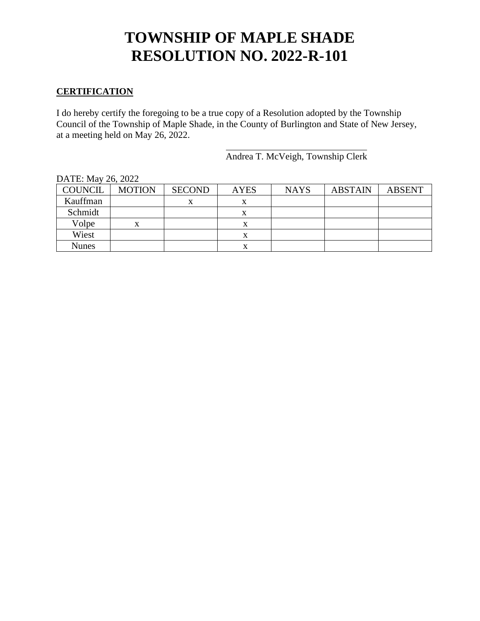#### **CERTIFICATION**

I do hereby certify the foregoing to be a true copy of a Resolution adopted by the Township Council of the Township of Maple Shade, in the County of Burlington and State of New Jersey, at a meeting held on May 26, 2022.

Andrea T. McVeigh, Township Clerk

| DATE: May 26, 2022 |               |               |             |             |                |               |  |  |
|--------------------|---------------|---------------|-------------|-------------|----------------|---------------|--|--|
| <b>COUNCIL</b>     | <b>MOTION</b> | <b>SECOND</b> | <b>AYES</b> | <b>NAYS</b> | <b>ABSTAIN</b> | <b>ABSENT</b> |  |  |
| Kauffman           |               |               | x           |             |                |               |  |  |
| Schmidt            |               |               | л           |             |                |               |  |  |
| Volpe              |               |               |             |             |                |               |  |  |
| Wiest              |               |               | X           |             |                |               |  |  |
| Nunes              |               |               |             |             |                |               |  |  |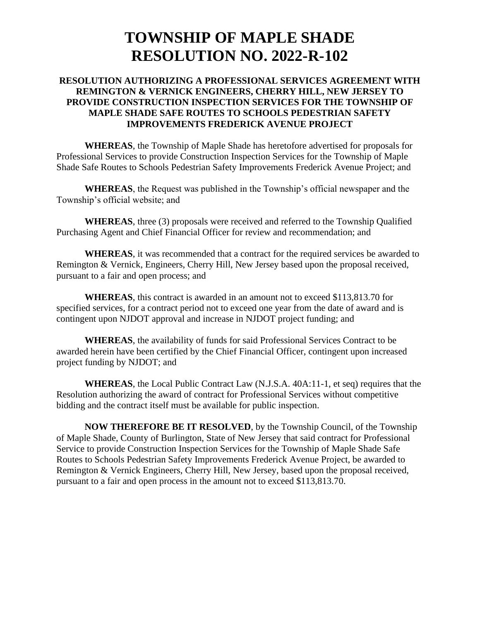#### **RESOLUTION AUTHORIZING A PROFESSIONAL SERVICES AGREEMENT WITH REMINGTON & VERNICK ENGINEERS, CHERRY HILL, NEW JERSEY TO PROVIDE CONSTRUCTION INSPECTION SERVICES FOR THE TOWNSHIP OF MAPLE SHADE SAFE ROUTES TO SCHOOLS PEDESTRIAN SAFETY IMPROVEMENTS FREDERICK AVENUE PROJECT**

**WHEREAS**, the Township of Maple Shade has heretofore advertised for proposals for Professional Services to provide Construction Inspection Services for the Township of Maple Shade Safe Routes to Schools Pedestrian Safety Improvements Frederick Avenue Project; and

**WHEREAS**, the Request was published in the Township's official newspaper and the Township's official website; and

**WHEREAS**, three (3) proposals were received and referred to the Township Qualified Purchasing Agent and Chief Financial Officer for review and recommendation; and

**WHEREAS**, it was recommended that a contract for the required services be awarded to Remington & Vernick, Engineers, Cherry Hill, New Jersey based upon the proposal received, pursuant to a fair and open process; and

**WHEREAS**, this contract is awarded in an amount not to exceed \$113,813.70 for specified services, for a contract period not to exceed one year from the date of award and is contingent upon NJDOT approval and increase in NJDOT project funding; and

**WHEREAS**, the availability of funds for said Professional Services Contract to be awarded herein have been certified by the Chief Financial Officer, contingent upon increased project funding by NJDOT; and

**WHEREAS**, the Local Public Contract Law (N.J.S.A. 40A:11-1, et seq) requires that the Resolution authorizing the award of contract for Professional Services without competitive bidding and the contract itself must be available for public inspection.

**NOW THEREFORE BE IT RESOLVED**, by the Township Council, of the Township of Maple Shade, County of Burlington, State of New Jersey that said contract for Professional Service to provide Construction Inspection Services for the Township of Maple Shade Safe Routes to Schools Pedestrian Safety Improvements Frederick Avenue Project, be awarded to Remington & Vernick Engineers, Cherry Hill, New Jersey, based upon the proposal received, pursuant to a fair and open process in the amount not to exceed \$113,813.70.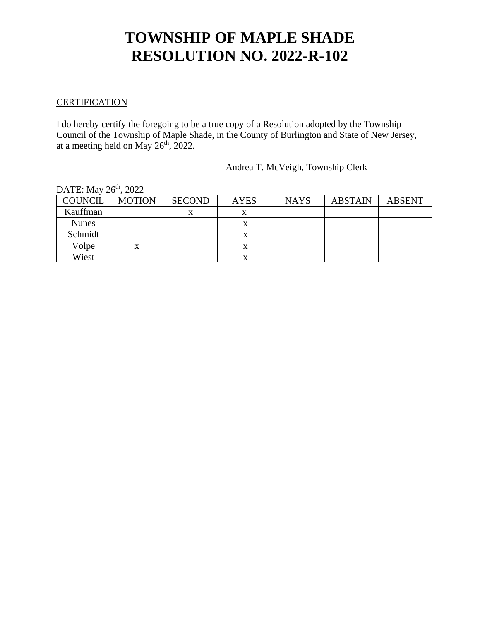#### **CERTIFICATION**

I do hereby certify the foregoing to be a true copy of a Resolution adopted by the Township Council of the Township of Maple Shade, in the County of Burlington and State of New Jersey, at a meeting held on May  $26<sup>th</sup>$ , 2022.

Andrea T. McVeigh, Township Clerk

| $L11L$ , $M4V$<br>$\sim$ 4044 |               |               |             |             |                |               |  |  |
|-------------------------------|---------------|---------------|-------------|-------------|----------------|---------------|--|--|
| <b>COUNCIL</b>                | <b>MOTION</b> | <b>SECOND</b> | <b>AYES</b> | <b>NAYS</b> | <b>ABSTAIN</b> | <b>ABSENT</b> |  |  |
| Kauffman                      |               |               | x           |             |                |               |  |  |
| <b>Nunes</b>                  |               |               |             |             |                |               |  |  |
| Schmidt                       |               |               |             |             |                |               |  |  |
| Volpe                         | x             |               |             |             |                |               |  |  |
| Wiest                         |               |               | x           |             |                |               |  |  |

#### DATE:  $\text{Mav } 26^{\text{th}}$ , 2022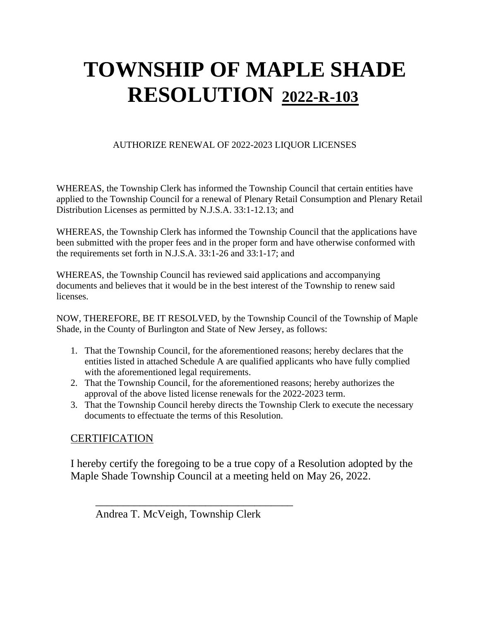### AUTHORIZE RENEWAL OF 2022-2023 LIQUOR LICENSES

WHEREAS, the Township Clerk has informed the Township Council that certain entities have applied to the Township Council for a renewal of Plenary Retail Consumption and Plenary Retail Distribution Licenses as permitted by N.J.S.A. 33:1-12.13; and

WHEREAS, the Township Clerk has informed the Township Council that the applications have been submitted with the proper fees and in the proper form and have otherwise conformed with the requirements set forth in N.J.S.A. 33:1-26 and 33:1-17; and

WHEREAS, the Township Council has reviewed said applications and accompanying documents and believes that it would be in the best interest of the Township to renew said licenses.

NOW, THEREFORE, BE IT RESOLVED, by the Township Council of the Township of Maple Shade, in the County of Burlington and State of New Jersey, as follows:

- 1. That the Township Council, for the aforementioned reasons; hereby declares that the entities listed in attached Schedule A are qualified applicants who have fully complied with the aforementioned legal requirements.
- 2. That the Township Council, for the aforementioned reasons; hereby authorizes the approval of the above listed license renewals for the 2022-2023 term.
- 3. That the Township Council hereby directs the Township Clerk to execute the necessary documents to effectuate the terms of this Resolution.

## **CERTIFICATION**

I hereby certify the foregoing to be a true copy of a Resolution adopted by the Maple Shade Township Council at a meeting held on May 26, 2022.

Andrea T. McVeigh, Township Clerk

 $\frac{1}{\sqrt{2}}$  ,  $\frac{1}{\sqrt{2}}$  ,  $\frac{1}{\sqrt{2}}$  ,  $\frac{1}{\sqrt{2}}$  ,  $\frac{1}{\sqrt{2}}$  ,  $\frac{1}{\sqrt{2}}$  ,  $\frac{1}{\sqrt{2}}$  ,  $\frac{1}{\sqrt{2}}$  ,  $\frac{1}{\sqrt{2}}$  ,  $\frac{1}{\sqrt{2}}$  ,  $\frac{1}{\sqrt{2}}$  ,  $\frac{1}{\sqrt{2}}$  ,  $\frac{1}{\sqrt{2}}$  ,  $\frac{1}{\sqrt{2}}$  ,  $\frac{1}{\sqrt{2}}$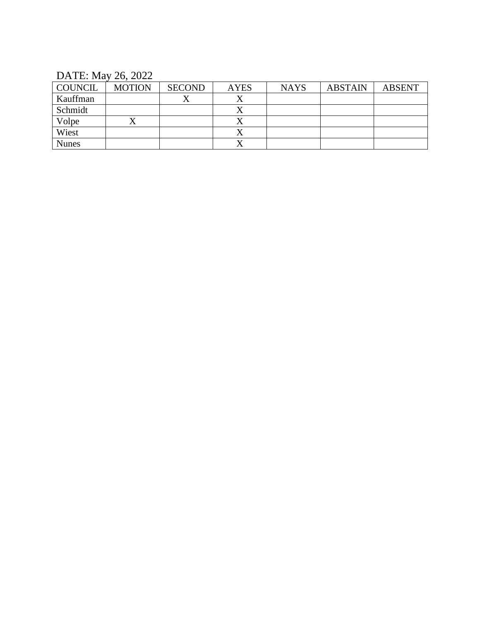| <b>COUNCIL</b> | <b>MOTION</b> | <b>SECOND</b> | <b>AYES</b> | <b>NAYS</b> | <b>ABSTAIN</b> | <b>ABSENT</b> |
|----------------|---------------|---------------|-------------|-------------|----------------|---------------|
| Kauffman       |               |               |             |             |                |               |
| Schmidt        |               |               |             |             |                |               |
| Volpe          | ∡             |               |             |             |                |               |
| Wiest          |               |               |             |             |                |               |
| <b>Nunes</b>   |               |               |             |             |                |               |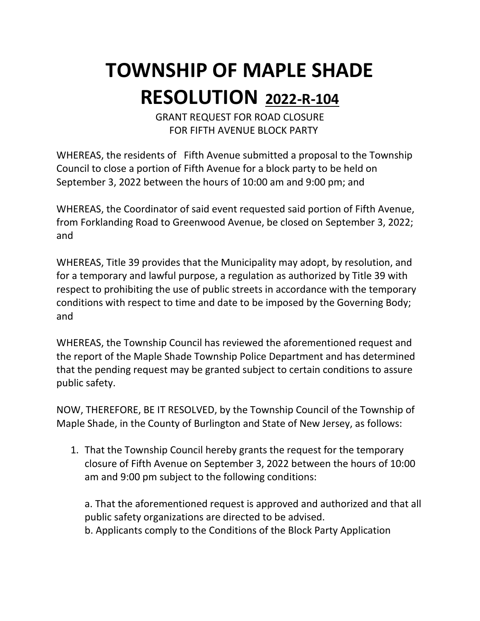GRANT REQUEST FOR ROAD CLOSURE FOR FIFTH AVENUE BLOCK PARTY

WHEREAS, the residents of Fifth Avenue submitted a proposal to the Township Council to close a portion of Fifth Avenue for a block party to be held on September 3, 2022 between the hours of 10:00 am and 9:00 pm; and

WHEREAS, the Coordinator of said event requested said portion of Fifth Avenue, from Forklanding Road to Greenwood Avenue, be closed on September 3, 2022; and

WHEREAS, Title 39 provides that the Municipality may adopt, by resolution, and for a temporary and lawful purpose, a regulation as authorized by Title 39 with respect to prohibiting the use of public streets in accordance with the temporary conditions with respect to time and date to be imposed by the Governing Body; and

WHEREAS, the Township Council has reviewed the aforementioned request and the report of the Maple Shade Township Police Department and has determined that the pending request may be granted subject to certain conditions to assure public safety.

NOW, THEREFORE, BE IT RESOLVED, by the Township Council of the Township of Maple Shade, in the County of Burlington and State of New Jersey, as follows:

1. That the Township Council hereby grants the request for the temporary closure of Fifth Avenue on September 3, 2022 between the hours of 10:00 am and 9:00 pm subject to the following conditions:

a. That the aforementioned request is approved and authorized and that all public safety organizations are directed to be advised.

b. Applicants comply to the Conditions of the Block Party Application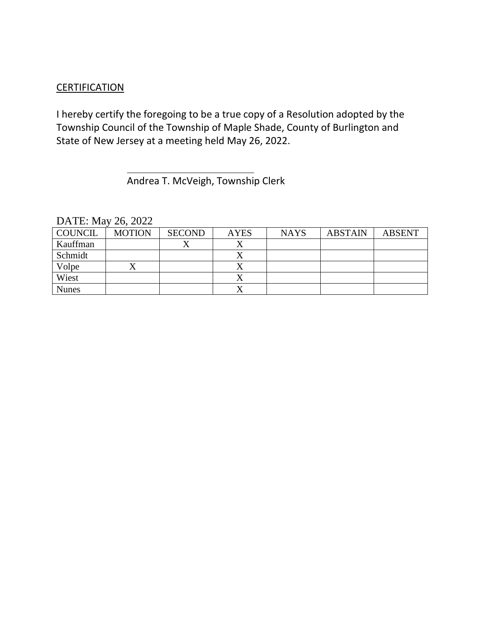## **CERTIFICATION**

I hereby certify the foregoing to be a true copy of a Resolution adopted by the Township Council of the Township of Maple Shade, County of Burlington and State of New Jersey at a meeting held May 26, 2022.

Andrea T. McVeigh, Township Clerk

| <b>COUNCIL</b> | <b>MOTION</b> | <b>SECOND</b> | <b>AYES</b> | <b>NAYS</b> | <b>ABSTAIN</b> | <b>ABSENT</b> |
|----------------|---------------|---------------|-------------|-------------|----------------|---------------|
| Kauffman       |               | ∡             |             |             |                |               |
| Schmidt        |               |               |             |             |                |               |
| Volpe          |               |               |             |             |                |               |
| Wiest          |               |               |             |             |                |               |
| <b>Nunes</b>   |               |               |             |             |                |               |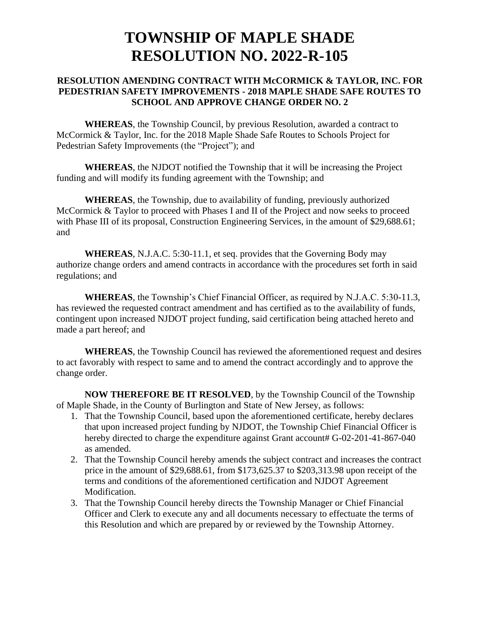#### **RESOLUTION AMENDING CONTRACT WITH McCORMICK & TAYLOR, INC. FOR PEDESTRIAN SAFETY IMPROVEMENTS - 2018 MAPLE SHADE SAFE ROUTES TO SCHOOL AND APPROVE CHANGE ORDER NO. 2**

**WHEREAS**, the Township Council, by previous Resolution, awarded a contract to McCormick & Taylor, Inc. for the 2018 Maple Shade Safe Routes to Schools Project for Pedestrian Safety Improvements (the "Project"); and

**WHEREAS**, the NJDOT notified the Township that it will be increasing the Project funding and will modify its funding agreement with the Township; and

**WHEREAS**, the Township, due to availability of funding, previously authorized McCormick & Taylor to proceed with Phases I and II of the Project and now seeks to proceed with Phase III of its proposal, Construction Engineering Services, in the amount of \$29,688.61; and

**WHEREAS**, N.J.A.C. 5:30-11.1, et seq. provides that the Governing Body may authorize change orders and amend contracts in accordance with the procedures set forth in said regulations; and

**WHEREAS**, the Township's Chief Financial Officer, as required by N.J.A.C. 5:30-11.3, has reviewed the requested contract amendment and has certified as to the availability of funds, contingent upon increased NJDOT project funding, said certification being attached hereto and made a part hereof; and

**WHEREAS**, the Township Council has reviewed the aforementioned request and desires to act favorably with respect to same and to amend the contract accordingly and to approve the change order.

**NOW THEREFORE BE IT RESOLVED**, by the Township Council of the Township of Maple Shade, in the County of Burlington and State of New Jersey, as follows:

- 1. That the Township Council, based upon the aforementioned certificate, hereby declares that upon increased project funding by NJDOT, the Township Chief Financial Officer is hereby directed to charge the expenditure against Grant account# G-02-201-41-867-040 as amended.
- 2. That the Township Council hereby amends the subject contract and increases the contract price in the amount of \$29,688.61, from \$173,625.37 to \$203,313.98 upon receipt of the terms and conditions of the aforementioned certification and NJDOT Agreement Modification.
- 3. That the Township Council hereby directs the Township Manager or Chief Financial Officer and Clerk to execute any and all documents necessary to effectuate the terms of this Resolution and which are prepared by or reviewed by the Township Attorney.